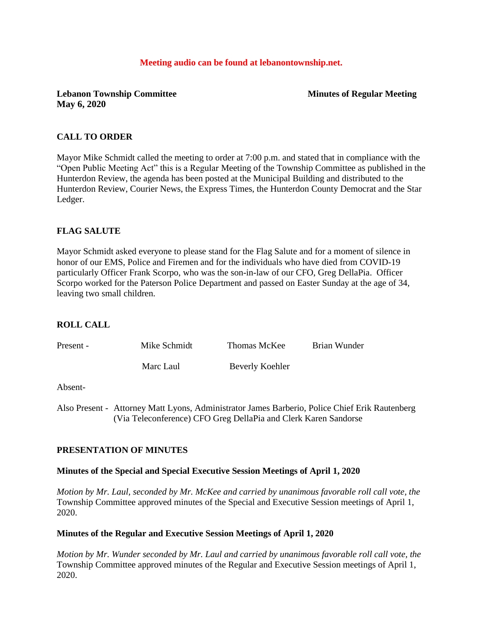#### **Meeting audio can be found at lebanontownship.net.**

**Lebanon Township Committee Minutes of Regular Meeting May 6, 2020**

#### **CALL TO ORDER**

Mayor Mike Schmidt called the meeting to order at 7:00 p.m. and stated that in compliance with the "Open Public Meeting Act" this is a Regular Meeting of the Township Committee as published in the Hunterdon Review, the agenda has been posted at the Municipal Building and distributed to the Hunterdon Review, Courier News, the Express Times, the Hunterdon County Democrat and the Star Ledger.

### **FLAG SALUTE**

Mayor Schmidt asked everyone to please stand for the Flag Salute and for a moment of silence in honor of our EMS, Police and Firemen and for the individuals who have died from COVID-19 particularly Officer Frank Scorpo, who was the son-in-law of our CFO, Greg DellaPia. Officer Scorpo worked for the Paterson Police Department and passed on Easter Sunday at the age of 34, leaving two small children.

#### **ROLL CALL**

| Present - | Mike Schmidt | Thomas McKee    | Brian Wunder |
|-----------|--------------|-----------------|--------------|
|           | Marc Laul    | Beverly Koehler |              |

#### Absent-

Also Present - Attorney Matt Lyons, Administrator James Barberio, Police Chief Erik Rautenberg (Via Teleconference) CFO Greg DellaPia and Clerk Karen Sandorse

#### **PRESENTATION OF MINUTES**

#### **Minutes of the Special and Special Executive Session Meetings of April 1, 2020**

*Motion by Mr. Laul, seconded by Mr. McKee and carried by unanimous favorable roll call vote, the* Township Committee approved minutes of the Special and Executive Session meetings of April 1, 2020.

#### **Minutes of the Regular and Executive Session Meetings of April 1, 2020**

*Motion by Mr. Wunder seconded by Mr. Laul and carried by unanimous favorable roll call vote, the* Township Committee approved minutes of the Regular and Executive Session meetings of April 1, 2020.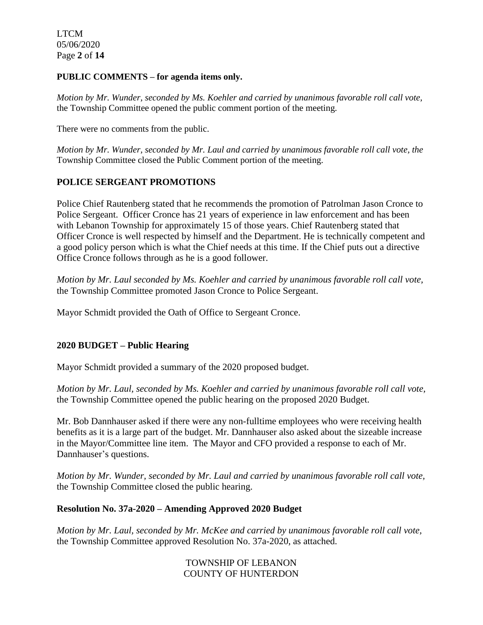LTCM 05/06/2020 Page **2** of **14**

#### **PUBLIC COMMENTS – for agenda items only.**

*Motion by Mr. Wunder, seconded by Ms. Koehler and carried by unanimous favorable roll call vote,* the Township Committee opened the public comment portion of the meeting.

There were no comments from the public.

*Motion by Mr. Wunder, seconded by Mr. Laul and carried by unanimous favorable roll call vote, the* Township Committee closed the Public Comment portion of the meeting.

# **POLICE SERGEANT PROMOTIONS**

Police Chief Rautenberg stated that he recommends the promotion of Patrolman Jason Cronce to Police Sergeant. Officer Cronce has 21 years of experience in law enforcement and has been with Lebanon Township for approximately 15 of those years. Chief Rautenberg stated that Officer Cronce is well respected by himself and the Department. He is technically competent and a good policy person which is what the Chief needs at this time. If the Chief puts out a directive Office Cronce follows through as he is a good follower.

*Motion by Mr. Laul seconded by Ms. Koehler and carried by unanimous favorable roll call vote,*  the Township Committee promoted Jason Cronce to Police Sergeant.

Mayor Schmidt provided the Oath of Office to Sergeant Cronce.

## **2020 BUDGET – Public Hearing**

Mayor Schmidt provided a summary of the 2020 proposed budget.

*Motion by Mr. Laul, seconded by Ms. Koehler and carried by unanimous favorable roll call vote,*  the Township Committee opened the public hearing on the proposed 2020 Budget.

Mr. Bob Dannhauser asked if there were any non-fulltime employees who were receiving health benefits as it is a large part of the budget. Mr. Dannhauser also asked about the sizeable increase in the Mayor/Committee line item. The Mayor and CFO provided a response to each of Mr. Dannhauser's questions.

*Motion by Mr. Wunder, seconded by Mr. Laul and carried by unanimous favorable roll call vote,*  the Township Committee closed the public hearing.

### **Resolution No. 37a-2020 – Amending Approved 2020 Budget**

*Motion by Mr. Laul, seconded by Mr. McKee and carried by unanimous favorable roll call vote,* the Township Committee approved Resolution No. 37a-2020, as attached.

## TOWNSHIP OF LEBANON COUNTY OF HUNTERDON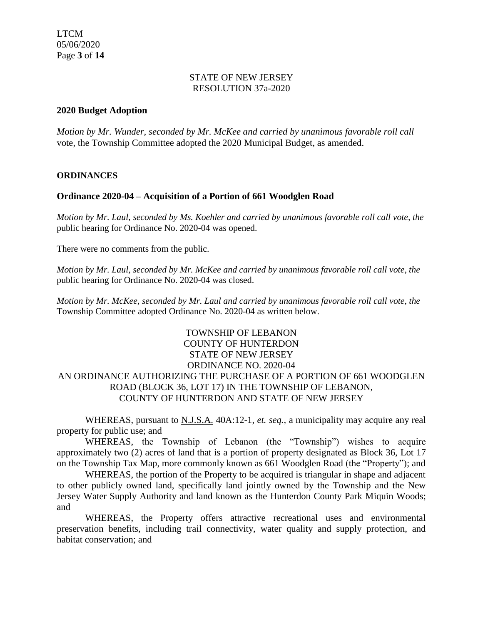#### STATE OF NEW JERSEY RESOLUTION 37a-2020

## **2020 Budget Adoption**

*Motion by Mr. Wunder, seconded by Mr. McKee and carried by unanimous favorable roll call*  vote, the Township Committee adopted the 2020 Municipal Budget, as amended.

## **ORDINANCES**

## **Ordinance 2020-04 – Acquisition of a Portion of 661 Woodglen Road**

*Motion by Mr. Laul, seconded by Ms. Koehler and carried by unanimous favorable roll call vote, the* public hearing for Ordinance No. 2020-04 was opened.

There were no comments from the public.

*Motion by Mr. Laul, seconded by Mr. McKee and carried by unanimous favorable roll call vote, the* public hearing for Ordinance No. 2020-04 was closed.

*Motion by Mr. McKee, seconded by Mr. Laul and carried by unanimous favorable roll call vote, the* Township Committee adopted Ordinance No. 2020-04 as written below.

# TOWNSHIP OF LEBANON COUNTY OF HUNTERDON STATE OF NEW JERSEY ORDINANCE NO. 2020-04 AN ORDINANCE AUTHORIZING THE PURCHASE OF A PORTION OF 661 WOODGLEN ROAD (BLOCK 36, LOT 17) IN THE TOWNSHIP OF LEBANON, COUNTY OF HUNTERDON AND STATE OF NEW JERSEY

WHEREAS, pursuant to N.J.S.A. 40A:12-1, *et. seq.,* a municipality may acquire any real property for public use; and

WHEREAS, the Township of Lebanon (the "Township") wishes to acquire approximately two (2) acres of land that is a portion of property designated as Block 36, Lot 17 on the Township Tax Map, more commonly known as 661 Woodglen Road (the "Property"); and

WHEREAS, the portion of the Property to be acquired is triangular in shape and adjacent to other publicly owned land, specifically land jointly owned by the Township and the New Jersey Water Supply Authority and land known as the Hunterdon County Park Miquin Woods; and

WHEREAS, the Property offers attractive recreational uses and environmental preservation benefits, including trail connectivity, water quality and supply protection, and habitat conservation; and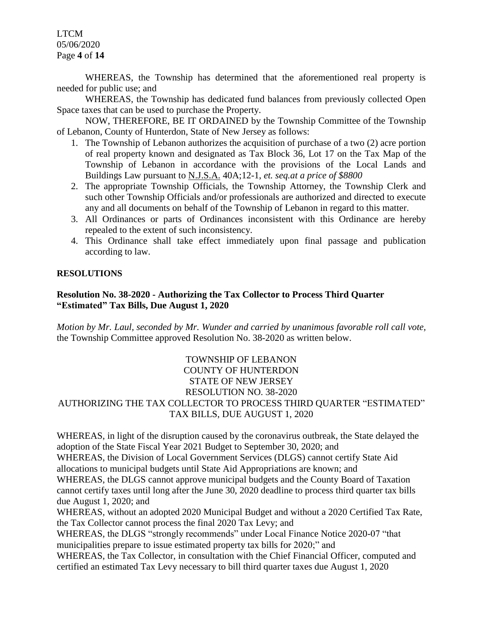LTCM 05/06/2020 Page **4** of **14**

WHEREAS, the Township has determined that the aforementioned real property is needed for public use; and

WHEREAS, the Township has dedicated fund balances from previously collected Open Space taxes that can be used to purchase the Property.

NOW, THEREFORE, BE IT ORDAINED by the Township Committee of the Township of Lebanon, County of Hunterdon, State of New Jersey as follows:

- 1. The Township of Lebanon authorizes the acquisition of purchase of a two (2) acre portion of real property known and designated as Tax Block 36, Lot 17 on the Tax Map of the Township of Lebanon in accordance with the provisions of the Local Lands and Buildings Law pursuant to N.J.S.A. 40A;12-1, *et. seq.at a price of \$8800*
- 2. The appropriate Township Officials, the Township Attorney, the Township Clerk and such other Township Officials and/or professionals are authorized and directed to execute any and all documents on behalf of the Township of Lebanon in regard to this matter.
- 3. All Ordinances or parts of Ordinances inconsistent with this Ordinance are hereby repealed to the extent of such inconsistency.
- 4. This Ordinance shall take effect immediately upon final passage and publication according to law.

## **RESOLUTIONS**

# **Resolution No. 38-2020 - Authorizing the Tax Collector to Process Third Quarter "Estimated" Tax Bills, Due August 1, 2020**

*Motion by Mr. Laul, seconded by Mr. Wunder and carried by unanimous favorable roll call vote,* the Township Committee approved Resolution No. 38-2020 as written below.

# TOWNSHIP OF LEBANON COUNTY OF HUNTERDON STATE OF NEW JERSEY RESOLUTION NO. 38-2020 AUTHORIZING THE TAX COLLECTOR TO PROCESS THIRD QUARTER "ESTIMATED" TAX BILLS, DUE AUGUST 1, 2020

WHEREAS, in light of the disruption caused by the coronavirus outbreak, the State delayed the adoption of the State Fiscal Year 2021 Budget to September 30, 2020; and

WHEREAS, the Division of Local Government Services (DLGS) cannot certify State Aid allocations to municipal budgets until State Aid Appropriations are known; and

WHEREAS, the DLGS cannot approve municipal budgets and the County Board of Taxation cannot certify taxes until long after the June 30, 2020 deadline to process third quarter tax bills due August 1, 2020; and

WHEREAS, without an adopted 2020 Municipal Budget and without a 2020 Certified Tax Rate, the Tax Collector cannot process the final 2020 Tax Levy; and

WHEREAS, the DLGS "strongly recommends" under Local Finance Notice 2020-07 "that municipalities prepare to issue estimated property tax bills for 2020;" and

WHEREAS, the Tax Collector, in consultation with the Chief Financial Officer, computed and certified an estimated Tax Levy necessary to bill third quarter taxes due August 1, 2020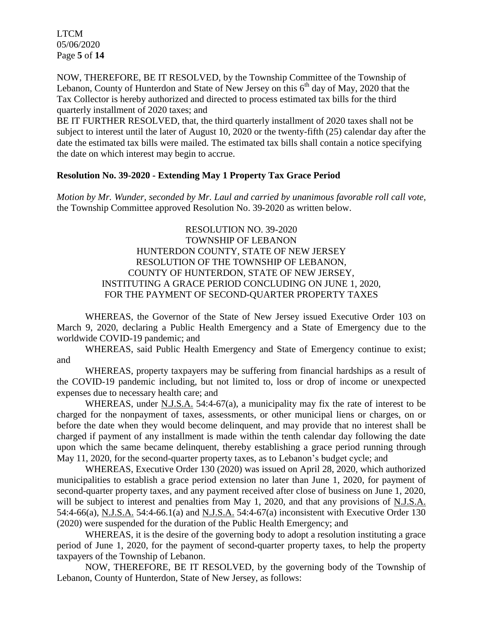LTCM 05/06/2020 Page **5** of **14**

NOW, THEREFORE, BE IT RESOLVED, by the Township Committee of the Township of Lebanon, County of Hunterdon and State of New Jersey on this 6<sup>th</sup> day of May, 2020 that the Tax Collector is hereby authorized and directed to process estimated tax bills for the third quarterly installment of 2020 taxes; and

BE IT FURTHER RESOLVED, that, the third quarterly installment of 2020 taxes shall not be subject to interest until the later of August 10, 2020 or the twenty-fifth (25) calendar day after the date the estimated tax bills were mailed. The estimated tax bills shall contain a notice specifying the date on which interest may begin to accrue.

### **Resolution No. 39-2020 - Extending May 1 Property Tax Grace Period**

*Motion by Mr. Wunder, seconded by Mr. Laul and carried by unanimous favorable roll call vote,* the Township Committee approved Resolution No. 39-2020 as written below.

> RESOLUTION NO. 39-2020 TOWNSHIP OF LEBANON HUNTERDON COUNTY, STATE OF NEW JERSEY RESOLUTION OF THE TOWNSHIP OF LEBANON, COUNTY OF HUNTERDON, STATE OF NEW JERSEY, INSTITUTING A GRACE PERIOD CONCLUDING ON JUNE 1, 2020, FOR THE PAYMENT OF SECOND-QUARTER PROPERTY TAXES

WHEREAS, the Governor of the State of New Jersey issued Executive Order 103 on March 9, 2020, declaring a Public Health Emergency and a State of Emergency due to the worldwide COVID-19 pandemic; and

WHEREAS, said Public Health Emergency and State of Emergency continue to exist; and

WHEREAS, property taxpayers may be suffering from financial hardships as a result of the COVID-19 pandemic including, but not limited to, loss or drop of income or unexpected expenses due to necessary health care; and

WHEREAS, under N.J.S.A. 54:4-67(a), a municipality may fix the rate of interest to be charged for the nonpayment of taxes, assessments, or other municipal liens or charges, on or before the date when they would become delinquent, and may provide that no interest shall be charged if payment of any installment is made within the tenth calendar day following the date upon which the same became delinquent, thereby establishing a grace period running through May 11, 2020, for the second-quarter property taxes, as to Lebanon's budget cycle; and

WHEREAS, Executive Order 130 (2020) was issued on April 28, 2020, which authorized municipalities to establish a grace period extension no later than June 1, 2020, for payment of second-quarter property taxes, and any payment received after close of business on June 1, 2020, will be subject to interest and penalties from May 1, 2020, and that any provisions of N.J.S.A. 54:4-66(a), N.J.S.A. 54:4-66.1(a) and N.J.S.A. 54:4-67(a) inconsistent with Executive Order 130 (2020) were suspended for the duration of the Public Health Emergency; and

WHEREAS, it is the desire of the governing body to adopt a resolution instituting a grace period of June 1, 2020, for the payment of second-quarter property taxes, to help the property taxpayers of the Township of Lebanon.

NOW, THEREFORE, BE IT RESOLVED, by the governing body of the Township of Lebanon, County of Hunterdon, State of New Jersey, as follows: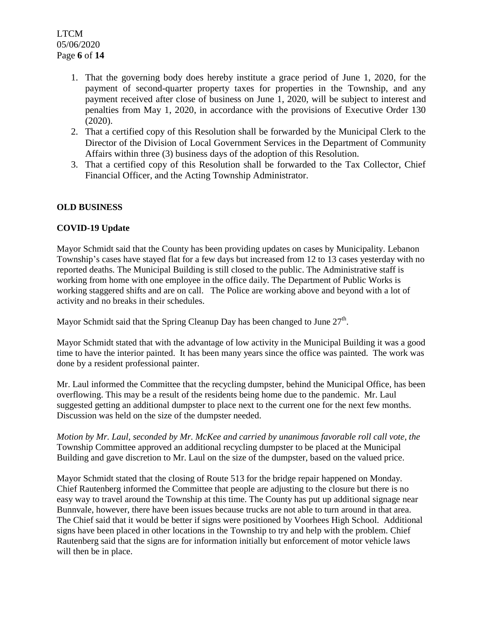- 1. That the governing body does hereby institute a grace period of June 1, 2020, for the payment of second-quarter property taxes for properties in the Township, and any payment received after close of business on June 1, 2020, will be subject to interest and penalties from May 1, 2020, in accordance with the provisions of Executive Order 130 (2020).
- 2. That a certified copy of this Resolution shall be forwarded by the Municipal Clerk to the Director of the Division of Local Government Services in the Department of Community Affairs within three (3) business days of the adoption of this Resolution.
- 3. That a certified copy of this Resolution shall be forwarded to the Tax Collector, Chief Financial Officer, and the Acting Township Administrator.

## **OLD BUSINESS**

## **COVID-19 Update**

Mayor Schmidt said that the County has been providing updates on cases by Municipality. Lebanon Township's cases have stayed flat for a few days but increased from 12 to 13 cases yesterday with no reported deaths. The Municipal Building is still closed to the public. The Administrative staff is working from home with one employee in the office daily. The Department of Public Works is working staggered shifts and are on call. The Police are working above and beyond with a lot of activity and no breaks in their schedules.

Mayor Schmidt said that the Spring Cleanup Day has been changed to June  $27<sup>th</sup>$ .

Mayor Schmidt stated that with the advantage of low activity in the Municipal Building it was a good time to have the interior painted. It has been many years since the office was painted. The work was done by a resident professional painter.

Mr. Laul informed the Committee that the recycling dumpster, behind the Municipal Office, has been overflowing. This may be a result of the residents being home due to the pandemic. Mr. Laul suggested getting an additional dumpster to place next to the current one for the next few months. Discussion was held on the size of the dumpster needed.

*Motion by Mr. Laul, seconded by Mr. McKee and carried by unanimous favorable roll call vote, the* Township Committee approved an additional recycling dumpster to be placed at the Municipal Building and gave discretion to Mr. Laul on the size of the dumpster, based on the valued price.

Mayor Schmidt stated that the closing of Route 513 for the bridge repair happened on Monday. Chief Rautenberg informed the Committee that people are adjusting to the closure but there is no easy way to travel around the Township at this time. The County has put up additional signage near Bunnvale, however, there have been issues because trucks are not able to turn around in that area. The Chief said that it would be better if signs were positioned by Voorhees High School. Additional signs have been placed in other locations in the Township to try and help with the problem. Chief Rautenberg said that the signs are for information initially but enforcement of motor vehicle laws will then be in place.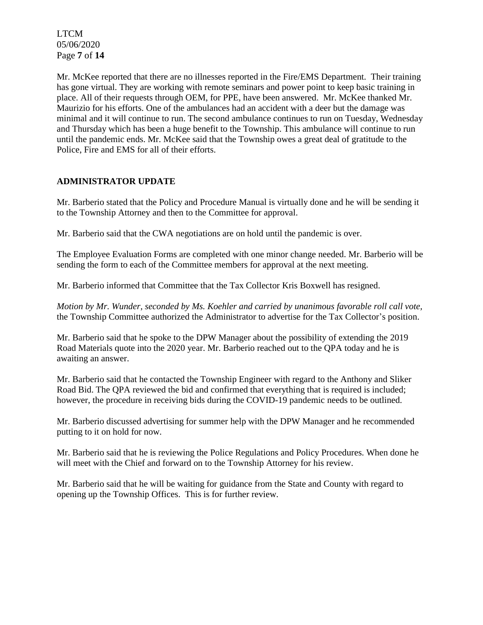LTCM 05/06/2020 Page **7** of **14**

Mr. McKee reported that there are no illnesses reported in the Fire/EMS Department. Their training has gone virtual. They are working with remote seminars and power point to keep basic training in place. All of their requests through OEM, for PPE, have been answered. Mr. McKee thanked Mr. Maurizio for his efforts. One of the ambulances had an accident with a deer but the damage was minimal and it will continue to run. The second ambulance continues to run on Tuesday, Wednesday and Thursday which has been a huge benefit to the Township. This ambulance will continue to run until the pandemic ends. Mr. McKee said that the Township owes a great deal of gratitude to the Police, Fire and EMS for all of their efforts.

### **ADMINISTRATOR UPDATE**

Mr. Barberio stated that the Policy and Procedure Manual is virtually done and he will be sending it to the Township Attorney and then to the Committee for approval.

Mr. Barberio said that the CWA negotiations are on hold until the pandemic is over.

The Employee Evaluation Forms are completed with one minor change needed. Mr. Barberio will be sending the form to each of the Committee members for approval at the next meeting.

Mr. Barberio informed that Committee that the Tax Collector Kris Boxwell has resigned.

*Motion by Mr. Wunder, seconded by Ms. Koehler and carried by unanimous favorable roll call vote,* the Township Committee authorized the Administrator to advertise for the Tax Collector's position.

Mr. Barberio said that he spoke to the DPW Manager about the possibility of extending the 2019 Road Materials quote into the 2020 year. Mr. Barberio reached out to the QPA today and he is awaiting an answer.

Mr. Barberio said that he contacted the Township Engineer with regard to the Anthony and Sliker Road Bid. The QPA reviewed the bid and confirmed that everything that is required is included; however, the procedure in receiving bids during the COVID-19 pandemic needs to be outlined.

Mr. Barberio discussed advertising for summer help with the DPW Manager and he recommended putting to it on hold for now.

Mr. Barberio said that he is reviewing the Police Regulations and Policy Procedures. When done he will meet with the Chief and forward on to the Township Attorney for his review.

Mr. Barberio said that he will be waiting for guidance from the State and County with regard to opening up the Township Offices. This is for further review.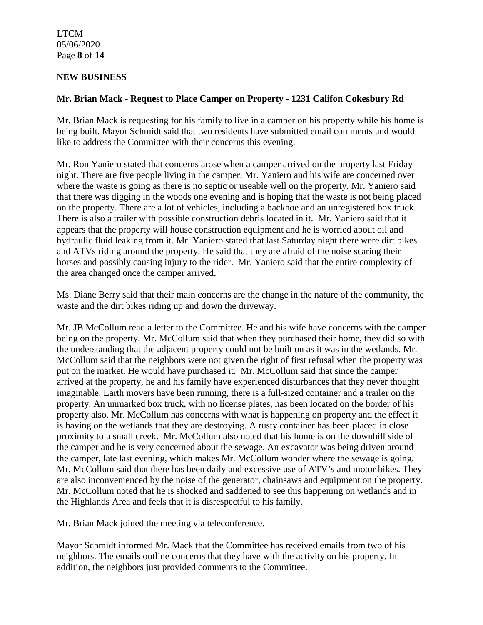LTCM 05/06/2020 Page **8** of **14**

## **NEW BUSINESS**

## **Mr. Brian Mack - Request to Place Camper on Property - 1231 Califon Cokesbury Rd**

Mr. Brian Mack is requesting for his family to live in a camper on his property while his home is being built. Mayor Schmidt said that two residents have submitted email comments and would like to address the Committee with their concerns this evening.

Mr. Ron Yaniero stated that concerns arose when a camper arrived on the property last Friday night. There are five people living in the camper. Mr. Yaniero and his wife are concerned over where the waste is going as there is no septic or useable well on the property. Mr. Yaniero said that there was digging in the woods one evening and is hoping that the waste is not being placed on the property. There are a lot of vehicles, including a backhoe and an unregistered box truck. There is also a trailer with possible construction debris located in it. Mr. Yaniero said that it appears that the property will house construction equipment and he is worried about oil and hydraulic fluid leaking from it. Mr. Yaniero stated that last Saturday night there were dirt bikes and ATVs riding around the property. He said that they are afraid of the noise scaring their horses and possibly causing injury to the rider. Mr. Yaniero said that the entire complexity of the area changed once the camper arrived.

Ms. Diane Berry said that their main concerns are the change in the nature of the community, the waste and the dirt bikes riding up and down the driveway.

Mr. JB McCollum read a letter to the Committee. He and his wife have concerns with the camper being on the property. Mr. McCollum said that when they purchased their home, they did so with the understanding that the adjacent property could not be built on as it was in the wetlands. Mr. McCollum said that the neighbors were not given the right of first refusal when the property was put on the market. He would have purchased it. Mr. McCollum said that since the camper arrived at the property, he and his family have experienced disturbances that they never thought imaginable. Earth movers have been running, there is a full-sized container and a trailer on the property. An unmarked box truck, with no license plates, has been located on the border of his property also. Mr. McCollum has concerns with what is happening on property and the effect it is having on the wetlands that they are destroying. A rusty container has been placed in close proximity to a small creek. Mr. McCollum also noted that his home is on the downhill side of the camper and he is very concerned about the sewage. An excavator was being driven around the camper, late last evening, which makes Mr. McCollum wonder where the sewage is going. Mr. McCollum said that there has been daily and excessive use of ATV's and motor bikes. They are also inconvenienced by the noise of the generator, chainsaws and equipment on the property. Mr. McCollum noted that he is shocked and saddened to see this happening on wetlands and in the Highlands Area and feels that it is disrespectful to his family.

Mr. Brian Mack joined the meeting via teleconference.

Mayor Schmidt informed Mr. Mack that the Committee has received emails from two of his neighbors. The emails outline concerns that they have with the activity on his property. In addition, the neighbors just provided comments to the Committee.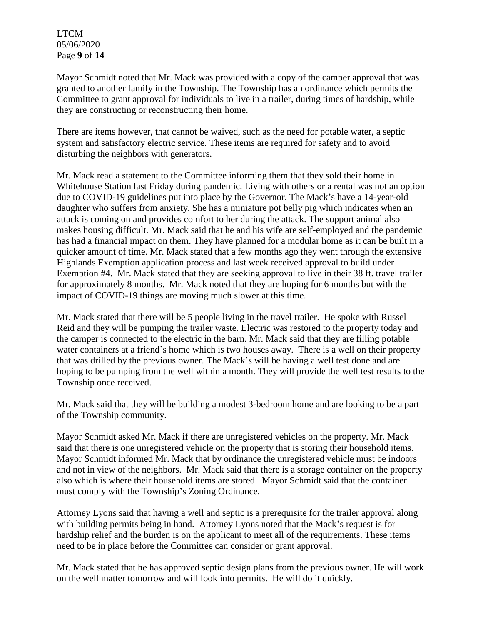LTCM 05/06/2020 Page **9** of **14**

Mayor Schmidt noted that Mr. Mack was provided with a copy of the camper approval that was granted to another family in the Township. The Township has an ordinance which permits the Committee to grant approval for individuals to live in a trailer, during times of hardship, while they are constructing or reconstructing their home.

There are items however, that cannot be waived, such as the need for potable water, a septic system and satisfactory electric service. These items are required for safety and to avoid disturbing the neighbors with generators.

Mr. Mack read a statement to the Committee informing them that they sold their home in Whitehouse Station last Friday during pandemic. Living with others or a rental was not an option due to COVID-19 guidelines put into place by the Governor. The Mack's have a 14-year-old daughter who suffers from anxiety. She has a miniature pot belly pig which indicates when an attack is coming on and provides comfort to her during the attack. The support animal also makes housing difficult. Mr. Mack said that he and his wife are self-employed and the pandemic has had a financial impact on them. They have planned for a modular home as it can be built in a quicker amount of time. Mr. Mack stated that a few months ago they went through the extensive Highlands Exemption application process and last week received approval to build under Exemption #4. Mr. Mack stated that they are seeking approval to live in their 38 ft. travel trailer for approximately 8 months. Mr. Mack noted that they are hoping for 6 months but with the impact of COVID-19 things are moving much slower at this time.

Mr. Mack stated that there will be 5 people living in the travel trailer. He spoke with Russel Reid and they will be pumping the trailer waste. Electric was restored to the property today and the camper is connected to the electric in the barn. Mr. Mack said that they are filling potable water containers at a friend's home which is two houses away. There is a well on their property that was drilled by the previous owner. The Mack's will be having a well test done and are hoping to be pumping from the well within a month. They will provide the well test results to the Township once received.

Mr. Mack said that they will be building a modest 3-bedroom home and are looking to be a part of the Township community.

Mayor Schmidt asked Mr. Mack if there are unregistered vehicles on the property. Mr. Mack said that there is one unregistered vehicle on the property that is storing their household items. Mayor Schmidt informed Mr. Mack that by ordinance the unregistered vehicle must be indoors and not in view of the neighbors. Mr. Mack said that there is a storage container on the property also which is where their household items are stored. Mayor Schmidt said that the container must comply with the Township's Zoning Ordinance.

Attorney Lyons said that having a well and septic is a prerequisite for the trailer approval along with building permits being in hand. Attorney Lyons noted that the Mack's request is for hardship relief and the burden is on the applicant to meet all of the requirements. These items need to be in place before the Committee can consider or grant approval.

Mr. Mack stated that he has approved septic design plans from the previous owner. He will work on the well matter tomorrow and will look into permits. He will do it quickly.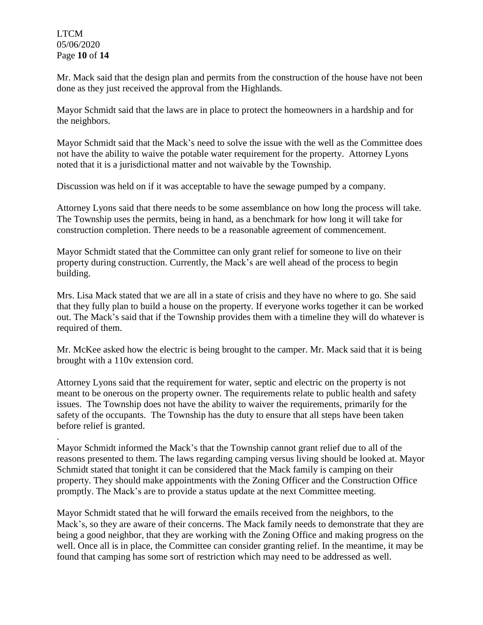LTCM 05/06/2020 Page **10** of **14**

.

Mr. Mack said that the design plan and permits from the construction of the house have not been done as they just received the approval from the Highlands.

Mayor Schmidt said that the laws are in place to protect the homeowners in a hardship and for the neighbors.

Mayor Schmidt said that the Mack's need to solve the issue with the well as the Committee does not have the ability to waive the potable water requirement for the property. Attorney Lyons noted that it is a jurisdictional matter and not waivable by the Township.

Discussion was held on if it was acceptable to have the sewage pumped by a company.

Attorney Lyons said that there needs to be some assemblance on how long the process will take. The Township uses the permits, being in hand, as a benchmark for how long it will take for construction completion. There needs to be a reasonable agreement of commencement.

Mayor Schmidt stated that the Committee can only grant relief for someone to live on their property during construction. Currently, the Mack's are well ahead of the process to begin building.

Mrs. Lisa Mack stated that we are all in a state of crisis and they have no where to go. She said that they fully plan to build a house on the property. If everyone works together it can be worked out. The Mack's said that if the Township provides them with a timeline they will do whatever is required of them.

Mr. McKee asked how the electric is being brought to the camper. Mr. Mack said that it is being brought with a 110v extension cord.

Attorney Lyons said that the requirement for water, septic and electric on the property is not meant to be onerous on the property owner. The requirements relate to public health and safety issues. The Township does not have the ability to waiver the requirements, primarily for the safety of the occupants. The Township has the duty to ensure that all steps have been taken before relief is granted.

Mayor Schmidt informed the Mack's that the Township cannot grant relief due to all of the reasons presented to them. The laws regarding camping versus living should be looked at. Mayor Schmidt stated that tonight it can be considered that the Mack family is camping on their property. They should make appointments with the Zoning Officer and the Construction Office promptly. The Mack's are to provide a status update at the next Committee meeting.

Mayor Schmidt stated that he will forward the emails received from the neighbors, to the Mack's, so they are aware of their concerns. The Mack family needs to demonstrate that they are being a good neighbor, that they are working with the Zoning Office and making progress on the well. Once all is in place, the Committee can consider granting relief. In the meantime, it may be found that camping has some sort of restriction which may need to be addressed as well.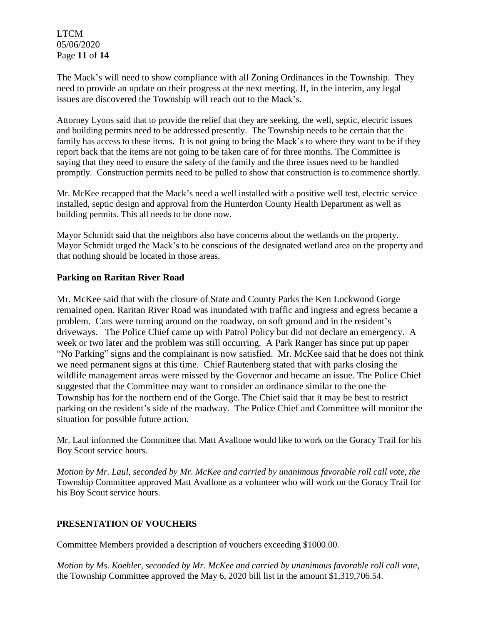LTCM 05/06/2020 Page **11** of **14**

The Mack's will need to show compliance with all Zoning Ordinances in the Township. They need to provide an update on their progress at the next meeting. If, in the interim, any legal issues are discovered the Township will reach out to the Mack's.

Attorney Lyons said that to provide the relief that they are seeking, the well, septic, electric issues and building permits need to be addressed presently. The Township needs to be certain that the family has access to these items. It is not going to bring the Mack's to where they want to be if they report back that the items are not going to be taken care of for three months. The Committee is saying that they need to ensure the safety of the family and the three issues need to be handled promptly. Construction permits need to be pulled to show that construction is to commence shortly.

Mr. McKee recapped that the Mack's need a well installed with a positive well test, electric service installed, septic design and approval from the Hunterdon County Health Department as well as building permits. This all needs to be done now.

Mayor Schmidt said that the neighbors also have concerns about the wetlands on the property. Mayor Schmidt urged the Mack's to be conscious of the designated wetland area on the property and that nothing should be located in those areas.

## **Parking on Raritan River Road**

Mr. McKee said that with the closure of State and County Parks the Ken Lockwood Gorge remained open. Raritan River Road was inundated with traffic and ingress and egress became a problem. Cars were turning around on the roadway, on soft ground and in the resident's driveways. The Police Chief came up with Patrol Policy but did not declare an emergency. A week or two later and the problem was still occurring. A Park Ranger has since put up paper "No Parking" signs and the complainant is now satisfied. Mr. McKee said that he does not think we need permanent signs at this time. Chief Rautenberg stated that with parks closing the wildlife management areas were missed by the Governor and became an issue. The Police Chief suggested that the Committee may want to consider an ordinance similar to the one the Township has for the northern end of the Gorge. The Chief said that it may be best to restrict parking on the resident's side of the roadway. The Police Chief and Committee will monitor the situation for possible future action.

Mr. Laul informed the Committee that Matt Avallone would like to work on the Goracy Trail for his Boy Scout service hours.

*Motion by Mr. Laul, seconded by Mr. McKee and carried by unanimous favorable roll call vote, the* Township Committee approved Matt Avallone as a volunteer who will work on the Goracy Trail for his Boy Scout service hours.

### **PRESENTATION OF VOUCHERS**

Committee Members provided a description of vouchers exceeding \$1000.00.

*Motion by Ms. Koehler, seconded by Mr. McKee and carried by unanimous favorable roll call vote,* the Township Committee approved the May 6, 2020 bill list in the amount \$1,319,706.54.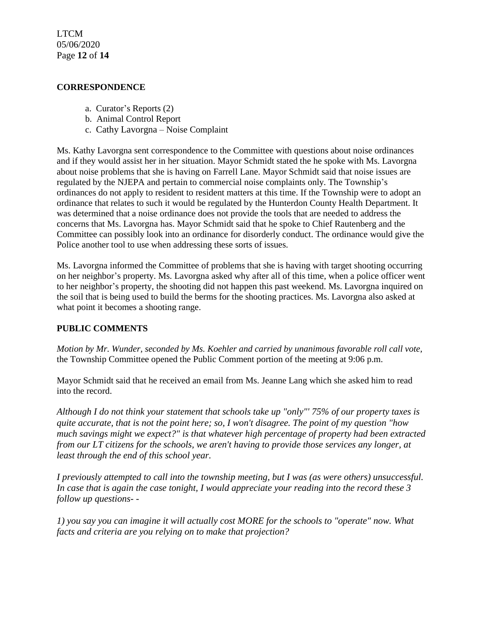LTCM 05/06/2020 Page **12** of **14**

#### **CORRESPONDENCE**

- a. Curator's Reports (2)
- b. Animal Control Report
- c. Cathy Lavorgna Noise Complaint

Ms. Kathy Lavorgna sent correspondence to the Committee with questions about noise ordinances and if they would assist her in her situation. Mayor Schmidt stated the he spoke with Ms. Lavorgna about noise problems that she is having on Farrell Lane. Mayor Schmidt said that noise issues are regulated by the NJEPA and pertain to commercial noise complaints only. The Township's ordinances do not apply to resident to resident matters at this time. If the Township were to adopt an ordinance that relates to such it would be regulated by the Hunterdon County Health Department. It was determined that a noise ordinance does not provide the tools that are needed to address the concerns that Ms. Lavorgna has. Mayor Schmidt said that he spoke to Chief Rautenberg and the Committee can possibly look into an ordinance for disorderly conduct. The ordinance would give the Police another tool to use when addressing these sorts of issues.

Ms. Lavorgna informed the Committee of problems that she is having with target shooting occurring on her neighbor's property. Ms. Lavorgna asked why after all of this time, when a police officer went to her neighbor's property, the shooting did not happen this past weekend. Ms. Lavorgna inquired on the soil that is being used to build the berms for the shooting practices. Ms. Lavorgna also asked at what point it becomes a shooting range.

### **PUBLIC COMMENTS**

*Motion by Mr. Wunder, seconded by Ms. Koehler and carried by unanimous favorable roll call vote,* the Township Committee opened the Public Comment portion of the meeting at 9:06 p.m.

Mayor Schmidt said that he received an email from Ms. Jeanne Lang which she asked him to read into the record.

*Although I do not think your statement that schools take up "only"' 75% of our property taxes is quite accurate, that is not the point here; so, I won't disagree. The point of my question "how much savings might we expect?" is that whatever high percentage of property had been extracted from our LT citizens for the schools, we aren't having to provide those services any longer, at least through the end of this school year.* 

*I previously attempted to call into the township meeting, but I was (as were others) unsuccessful. In case that is again the case tonight, I would appreciate your reading into the record these 3 follow up questions- -*

*1) you say you can imagine it will actually cost MORE for the schools to "operate" now. What facts and criteria are you relying on to make that projection?*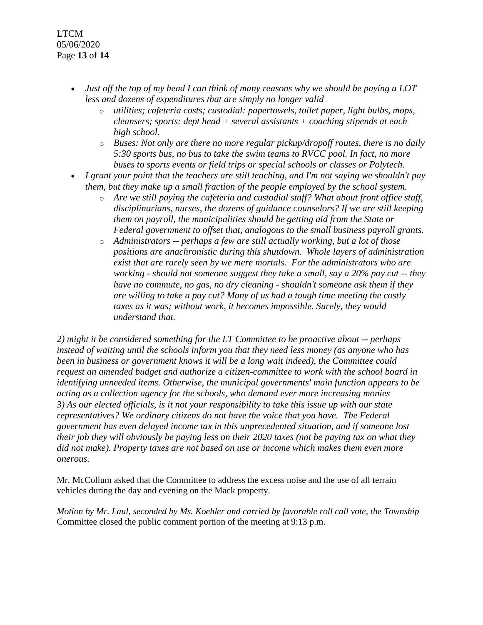LTCM 05/06/2020 Page **13** of **14**

- *Just off the top of my head I can think of many reasons why we should be paying a LOT less and dozens of expenditures that are simply no longer valid* 
	- o *utilities; cafeteria costs; custodial: papertowels, toilet paper, light bulbs, mops, cleansers; sports: dept head + several assistants + coaching stipends at each high school.*
	- o *Buses: Not only are there no more regular pickup/dropoff routes, there is no daily 5:30 sports bus, no bus to take the swim teams to RVCC pool. In fact, no more buses to sports events or field trips or special schools or classes or Polytech.*
- *I grant your point that the teachers are still teaching, and I'm not saying we shouldn't pay them, but they make up a small fraction of the people employed by the school system.*
	- o *Are we still paying the cafeteria and custodial staff? What about front office staff, disciplinarians, nurses, the dozens of guidance counselors? If we are still keeping them on payroll, the municipalities should be getting aid from the State or Federal government to offset that, analogous to the small business payroll grants.*
	- o *Administrators -- perhaps a few are still actually working, but a lot of those positions are anachronistic during this shutdown. Whole layers of administration exist that are rarely seen by we mere mortals. For the administrators who are working - should not someone suggest they take a small, say a 20% pay cut -- they have no commute, no gas, no dry cleaning - shouldn't someone ask them if they are willing to take a pay cut? Many of us had a tough time meeting the costly taxes as it was; without work, it becomes impossible. Surely, they would understand that.*

*2) might it be considered something for the LT Committee to be proactive about -- perhaps instead of waiting until the schools inform you that they need less money (as anyone who has been in business or government knows it will be a long wait indeed), the Committee could request an amended budget and authorize a citizen-committee to work with the school board in identifying unneeded items. Otherwise, the municipal governments' main function appears to be acting as a collection agency for the schools, who demand ever more increasing monies 3) As our elected officials, is it not your responsibility to take this issue up with our state representatives? We ordinary citizens do not have the voice that you have. The Federal government has even delayed income tax in this unprecedented situation, and if someone lost their job they will obviously be paying less on their 2020 taxes (not be paying tax on what they did not make). Property taxes are not based on use or income which makes them even more onerous.* 

Mr. McCollum asked that the Committee to address the excess noise and the use of all terrain vehicles during the day and evening on the Mack property.

*Motion by Mr. Laul, seconded by Ms. Koehler and carried by favorable roll call vote, the Township* Committee closed the public comment portion of the meeting at 9:13 p.m.